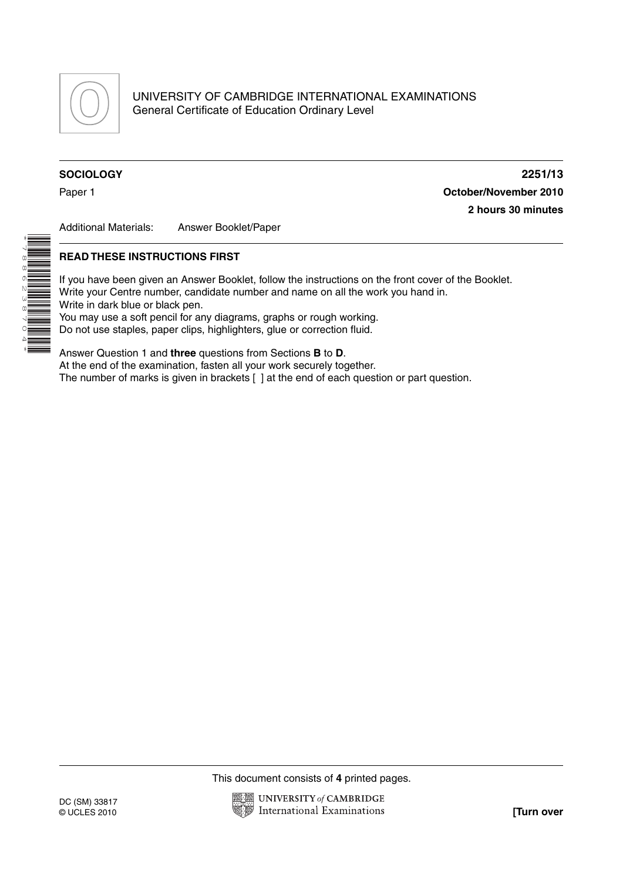

\*7886238704\* **SOCIOLOGY 2251/13** Paper 1 **October/November 2010 2 hours 30 minutes**

Additional Materials: Answer Booklet/Paper

## **READ THESE INSTRUCTIONS FIRST**

If you have been given an Answer Booklet, follow the instructions on the front cover of the Booklet. Write your Centre number, candidate number and name on all the work you hand in. Write in dark blue or black pen. You may use a soft pencil for any diagrams, graphs or rough working.

Do not use staples, paper clips, highlighters, glue or correction fluid.

Answer Question 1 and **three** questions from Sections **B** to **D**. At the end of the examination, fasten all your work securely together. The number of marks is given in brackets [ ] at the end of each question or part question.

This document consists of **4** printed pages.

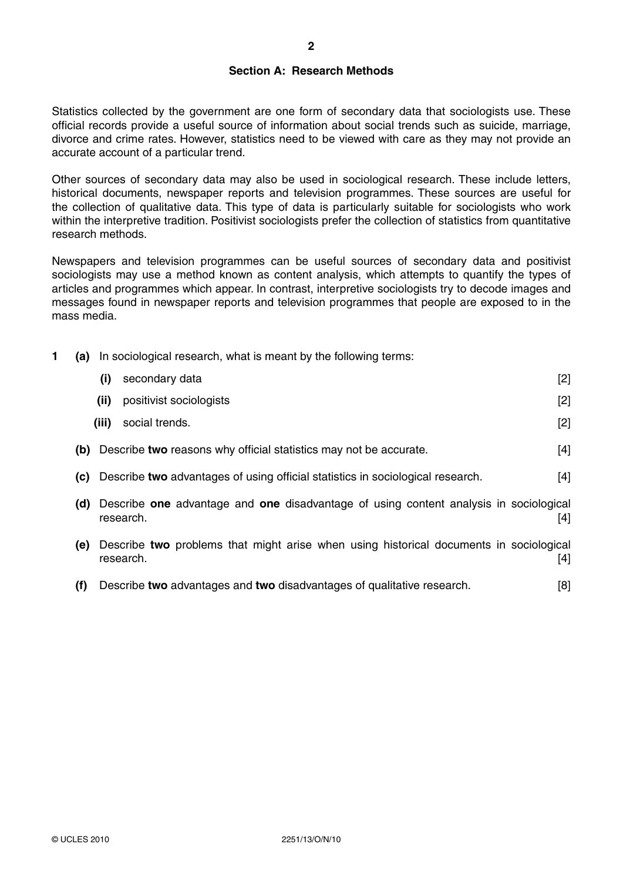# **Section A: Research Methods**

Statistics collected by the government are one form of secondary data that sociologists use. These official records provide a useful source of information about social trends such as suicide, marriage, divorce and crime rates. However, statistics need to be viewed with care as they may not provide an accurate account of a particular trend.

Other sources of secondary data may also be used in sociological research. These include letters, historical documents, newspaper reports and television programmes. These sources are useful for the collection of qualitative data. This type of data is particularly suitable for sociologists who work within the interpretive tradition. Positivist sociologists prefer the collection of statistics from quantitative research methods.

Newspapers and television programmes can be useful sources of secondary data and positivist sociologists may use a method known as content analysis, which attempts to quantify the types of articles and programmes which appear. In contrast, interpretive sociologists try to decode images and messages found in newspaper reports and television programmes that people are exposed to in the mass media.

**1 (a)** In sociological research, what is meant by the following terms:

|     | (i)<br>secondary data                                                                               | $[2]$ |
|-----|-----------------------------------------------------------------------------------------------------|-------|
|     | positivist sociologists<br>(ii)                                                                     | [2]   |
|     | social trends.<br>(iii)                                                                             | $[2]$ |
| (b) | Describe two reasons why official statistics may not be accurate.                                   | [4]   |
| (C) | Describe two advantages of using official statistics in sociological research.                      | $[4]$ |
| (d) | Describe one advantage and one disadvantage of using content analysis in sociological<br>research.  | [4]   |
| (e) | Describe two problems that might arise when using historical documents in sociological<br>research. | [4]   |

 **(f)** Describe **two** advantages and **two** disadvantages of qualitative research. [8]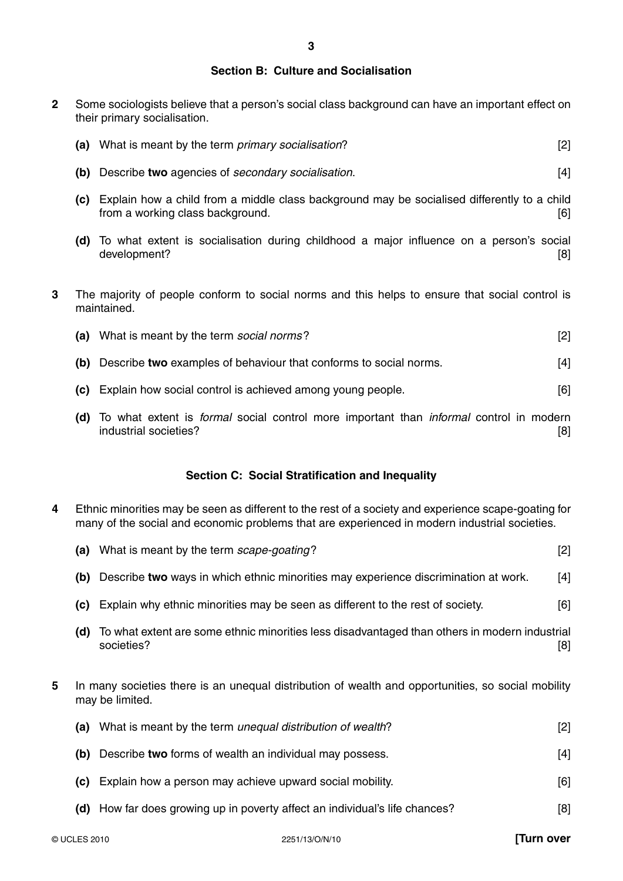## **Section B: Culture and Socialisation**

**2** Some sociologists believe that a person's social class background can have an important effect on their primary socialisation.

| (a) What is meant by the term <i>primary socialisation</i> ? |  |
|--------------------------------------------------------------|--|
|                                                              |  |

- **(b)** Describe **two** agencies of *secondary socialisation*. [4]
- **(c)** Explain how a child from a middle class background may be socialised differently to a child from a working class background. [6]
- **(d)** To what extent is socialisation during childhood a major influence on a person's social development? [8]
- **3** The majority of people conform to social norms and this helps to ensure that social control is maintained.

|  | What is meant by the term social norms? |  |
|--|-----------------------------------------|--|
|--|-----------------------------------------|--|

- **(b)** Describe **two** examples of behaviour that conforms to social norms. [4]
- **(c)** Explain how social control is achieved among young people. [6]
- **(d)** To what extent is *formal* social control more important than *informal* control in modern industrial societies? [8]

# **Section C: Social Stratification and Inequality**

**4** Ethnic minorities may be seen as different to the rest of a society and experience scape-goating for many of the social and economic problems that are experienced in modern industrial societies.

|   | (a) | What is meant by the term scape-goating?                                                                              | $[2]$ |
|---|-----|-----------------------------------------------------------------------------------------------------------------------|-------|
|   | (b) | Describe two ways in which ethnic minorities may experience discrimination at work.                                   | $[4]$ |
|   | (C) | Explain why ethnic minorities may be seen as different to the rest of society.                                        | [6]   |
|   | (d) | To what extent are some ethnic minorities less disadvantaged than others in modern industrial<br>societies?           | [8]   |
| 5 |     | In many societies there is an unequal distribution of wealth and opportunities, so social mobility<br>may be limited. |       |
|   | (a) | What is meant by the term unequal distribution of wealth?                                                             | $[2]$ |
|   | (b) | Describe two forms of wealth an individual may possess.                                                               | $[4]$ |
|   |     |                                                                                                                       |       |

- **(c)** Explain how a person may achieve upward social mobility. [6]
- **(d)** How far does growing up in poverty affect an individual's life chances? [8]